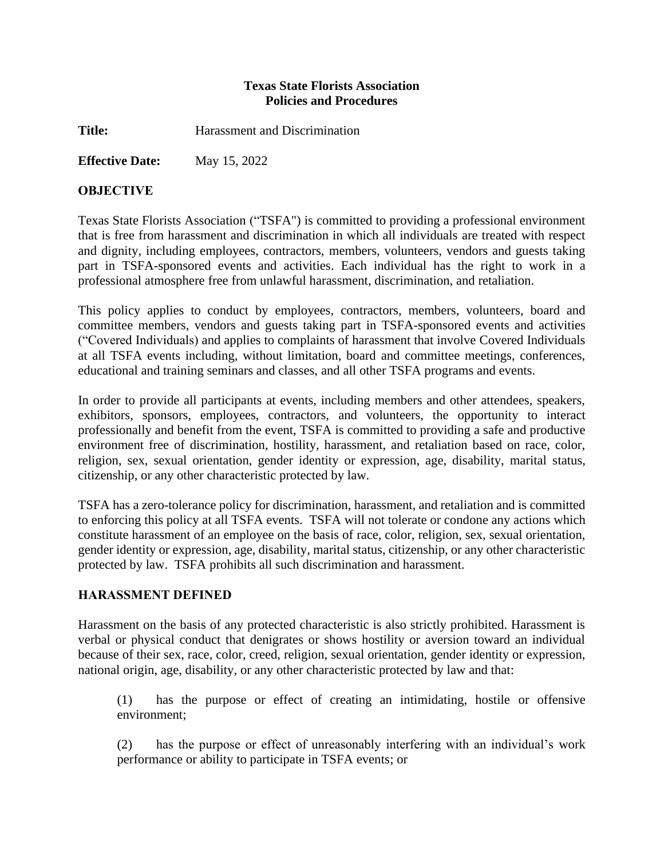### **Texas State Florists Association Policies and Procedures**

**Title:** Harassment and Discrimination

**Effective Date:** May 15, 2022

### **OBJECTIVE**

Texas State Florists Association ("TSFA") is committed to providing a professional environment that is free from harassment and discrimination in which all individuals are treated with respect and dignity, including employees, contractors, members, volunteers, vendors and guests taking part in TSFA-sponsored events and activities. Each individual has the right to work in a professional atmosphere free from unlawful harassment, discrimination, and retaliation.

This policy applies to conduct by employees, contractors, members, volunteers, board and committee members, vendors and guests taking part in TSFA-sponsored events and activities ("Covered Individuals) and applies to complaints of harassment that involve Covered Individuals at all TSFA events including, without limitation, board and committee meetings, conferences, educational and training seminars and classes, and all other TSFA programs and events.

In order to provide all participants at events, including members and other attendees, speakers, exhibitors, sponsors, employees, contractors, and volunteers, the opportunity to interact professionally and benefit from the event, TSFA is committed to providing a safe and productive environment free of discrimination, hostility, harassment, and retaliation based on race, color, religion, sex, sexual orientation, gender identity or expression, age, disability, marital status, citizenship, or any other characteristic protected by law.

TSFA has a zero-tolerance policy for discrimination, harassment, and retaliation and is committed to enforcing this policy at all TSFA events. TSFA will not tolerate or condone any actions which constitute harassment of an employee on the basis of race, color, religion, sex, sexual orientation, gender identity or expression, age, disability, marital status, citizenship, or any other characteristic protected by law. TSFA prohibits all such discrimination and harassment.

### **HARASSMENT DEFINED**

Harassment on the basis of any protected characteristic is also strictly prohibited. Harassment is verbal or physical conduct that denigrates or shows hostility or aversion toward an individual because of their sex, race, color, creed, religion, sexual orientation, gender identity or expression, national origin, age, disability, or any other characteristic protected by law and that:

(1) has the purpose or effect of creating an intimidating, hostile or offensive environment;

(2) has the purpose or effect of unreasonably interfering with an individual's work performance or ability to participate in TSFA events; or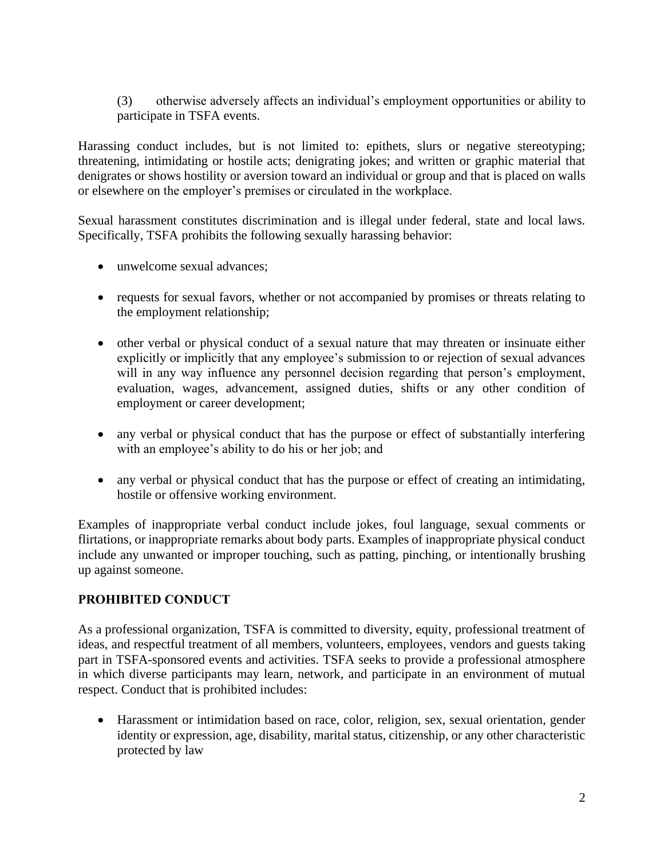(3) otherwise adversely affects an individual's employment opportunities or ability to participate in TSFA events.

Harassing conduct includes, but is not limited to: epithets, slurs or negative stereotyping; threatening, intimidating or hostile acts; denigrating jokes; and written or graphic material that denigrates or shows hostility or aversion toward an individual or group and that is placed on walls or elsewhere on the employer's premises or circulated in the workplace.

Sexual harassment constitutes discrimination and is illegal under federal, state and local laws. Specifically, TSFA prohibits the following sexually harassing behavior:

- unwelcome sexual advances:
- requests for sexual favors, whether or not accompanied by promises or threats relating to the employment relationship;
- other verbal or physical conduct of a sexual nature that may threaten or insinuate either explicitly or implicitly that any employee's submission to or rejection of sexual advances will in any way influence any personnel decision regarding that person's employment, evaluation, wages, advancement, assigned duties, shifts or any other condition of employment or career development;
- any verbal or physical conduct that has the purpose or effect of substantially interfering with an employee's ability to do his or her job; and
- any verbal or physical conduct that has the purpose or effect of creating an intimidating, hostile or offensive working environment.

Examples of inappropriate verbal conduct include jokes, foul language, sexual comments or flirtations, or inappropriate remarks about body parts. Examples of inappropriate physical conduct include any unwanted or improper touching, such as patting, pinching, or intentionally brushing up against someone.

# **PROHIBITED CONDUCT**

As a professional organization, TSFA is committed to diversity, equity, professional treatment of ideas, and respectful treatment of all members, volunteers, employees, vendors and guests taking part in TSFA-sponsored events and activities. TSFA seeks to provide a professional atmosphere in which diverse participants may learn, network, and participate in an environment of mutual respect. Conduct that is prohibited includes:

• Harassment or intimidation based on race, color, religion, sex, sexual orientation, gender identity or expression, age, disability, marital status, citizenship, or any other characteristic protected by law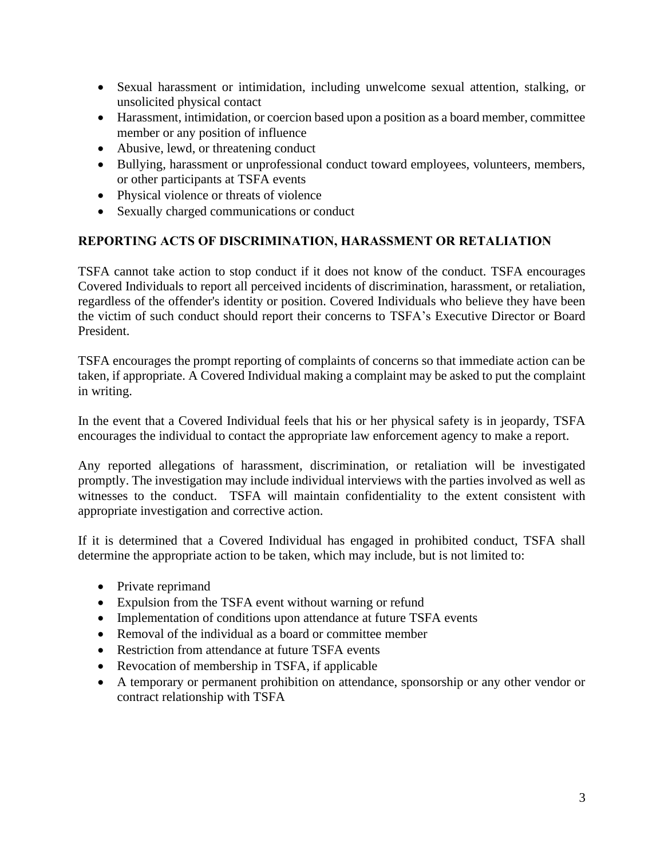- Sexual harassment or intimidation, including unwelcome sexual attention, stalking, or unsolicited physical contact
- Harassment, intimidation, or coercion based upon a position as a board member, committee member or any position of influence
- Abusive, lewd, or threatening conduct
- Bullying, harassment or unprofessional conduct toward employees, volunteers, members, or other participants at TSFA events
- Physical violence or threats of violence
- Sexually charged communications or conduct

## **REPORTING ACTS OF DISCRIMINATION, HARASSMENT OR RETALIATION**

TSFA cannot take action to stop conduct if it does not know of the conduct. TSFA encourages Covered Individuals to report all perceived incidents of discrimination, harassment, or retaliation, regardless of the offender's identity or position. Covered Individuals who believe they have been the victim of such conduct should report their concerns to TSFA's Executive Director or Board President.

TSFA encourages the prompt reporting of complaints of concerns so that immediate action can be taken, if appropriate. A Covered Individual making a complaint may be asked to put the complaint in writing.

In the event that a Covered Individual feels that his or her physical safety is in jeopardy, TSFA encourages the individual to contact the appropriate law enforcement agency to make a report.

Any reported allegations of harassment, discrimination, or retaliation will be investigated promptly. The investigation may include individual interviews with the parties involved as well as witnesses to the conduct. TSFA will maintain confidentiality to the extent consistent with appropriate investigation and corrective action.

If it is determined that a Covered Individual has engaged in prohibited conduct, TSFA shall determine the appropriate action to be taken, which may include, but is not limited to:

- Private reprimand
- Expulsion from the TSFA event without warning or refund
- Implementation of conditions upon attendance at future TSFA events
- Removal of the individual as a board or committee member
- Restriction from attendance at future TSFA events
- Revocation of membership in TSFA, if applicable
- A temporary or permanent prohibition on attendance, sponsorship or any other vendor or contract relationship with TSFA